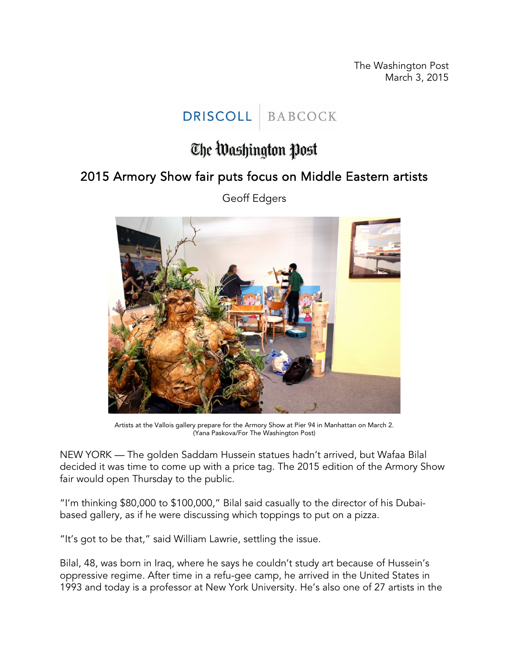The Washington Post March 3, 2015

## DRISCOLL BABCOCK

## The Washington Post

## 2015 Armory Show fair puts focus on Middle Eastern artists

Geoff Edgers



Artists at the Vallois gallery prepare for the Armory Show at Pier 94 in Manhattan on March 2. (Yana Paskova/For The Washington Post)

NEW YORK — The golden Saddam Hussein statues hadn't arrived, but Wafaa Bilal decided it was time to come up with a price tag. The 2015 edition of the Armory Show fair would open Thursday to the public.

"I'm thinking \$80,000 to \$100,000," Bilal said casually to the director of his Dubaibased gallery, as if he were discussing which toppings to put on a pizza.

"It's got to be that," said William Lawrie, settling the issue.

Bilal, 48, was born in Iraq, where he says he couldn't study art because of Hussein's oppressive regime. After time in a refu-gee camp, he arrived in the United States in 1993 and today is a professor at New York University. He's also one of 27 artists in the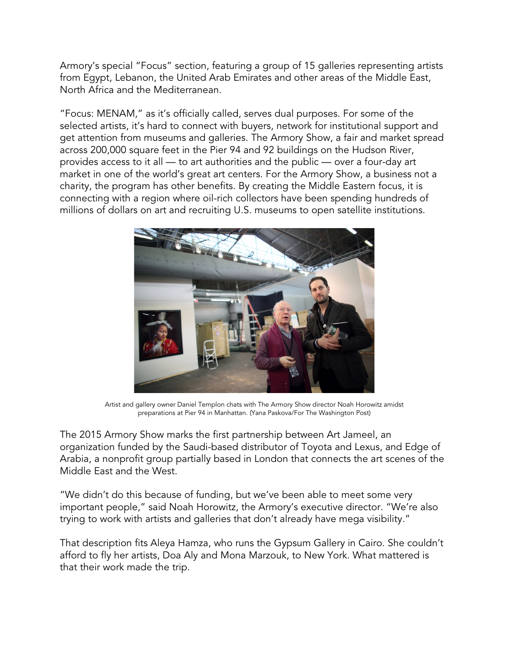Armory's special "Focus" section, featuring a group of 15 galleries representing artists from Egypt, Lebanon, the United Arab Emirates and other areas of the Middle East, North Africa and the Mediterranean.

"Focus: MENAM," as it's officially called, serves dual purposes. For some of the selected artists, it's hard to connect with buyers, network for institutional support and get attention from museums and galleries. The Armory Show, a fair and market spread across 200,000 square feet in the Pier 94 and 92 buildings on the Hudson River, provides access to it all — to art authorities and the public — over a four-day art market in one of the world's great art centers. For the Armory Show, a business not a charity, the program has other benefits. By creating the Middle Eastern focus, it is connecting with a region where oil-rich collectors have been spending hundreds of millions of dollars on art and recruiting U.S. museums to open satellite institutions.



Artist and gallery owner Daniel Templon chats with The Armory Show director Noah Horowitz amidst preparations at Pier 94 in Manhattan. (Yana Paskova/For The Washington Post)

The 2015 Armory Show marks the first partnership between Art Jameel, an organization funded by the Saudi-based distributor of Toyota and Lexus, and Edge of Arabia, a nonprofit group partially based in London that connects the art scenes of the Middle East and the West.

"We didn't do this because of funding, but we've been able to meet some very important people," said Noah Horowitz, the Armory's executive director. "We're also trying to work with artists and galleries that don't already have mega visibility."

That description fits Aleya Hamza, who runs the Gypsum Gallery in Cairo. She couldn't afford to fly her artists, Doa Aly and Mona Marzouk, to New York. What mattered is that their work made the trip.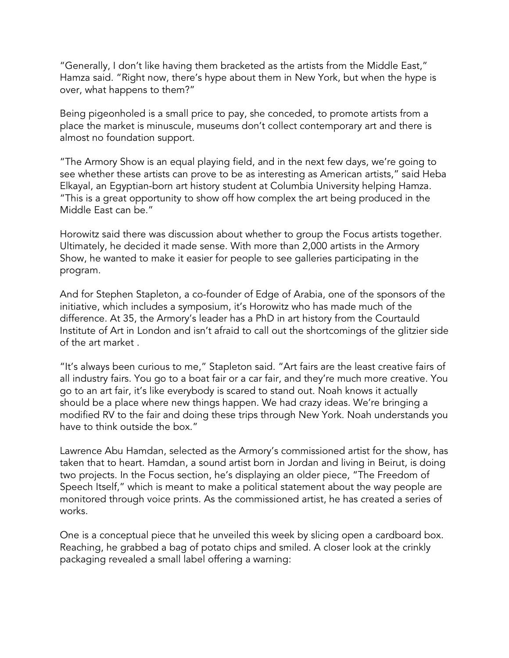"Generally, I don't like having them bracketed as the artists from the Middle East," Hamza said. "Right now, there's hype about them in New York, but when the hype is over, what happens to them?"

Being pigeonholed is a small price to pay, she conceded, to promote artists from a place the market is minuscule, museums don't collect contemporary art and there is almost no foundation support.

"The Armory Show is an equal playing field, and in the next few days, we're going to see whether these artists can prove to be as interesting as American artists," said Heba Elkayal, an Egyptian-born art history student at Columbia University helping Hamza. "This is a great opportunity to show off how complex the art being produced in the Middle East can be."

Horowitz said there was discussion about whether to group the Focus artists together. Ultimately, he decided it made sense. With more than 2,000 artists in the Armory Show, he wanted to make it easier for people to see galleries participating in the program.

And for Stephen Stapleton, a co-founder of Edge of Arabia, one of the sponsors of the initiative, which includes a symposium, it's Horowitz who has made much of the difference. At 35, the Armory's leader has a PhD in art history from the Courtauld Institute of Art in London and isn't afraid to call out the shortcomings of the glitzier side of the art market .

"It's always been curious to me," Stapleton said. "Art fairs are the least creative fairs of all industry fairs. You go to a boat fair or a car fair, and they're much more creative. You go to an art fair, it's like everybody is scared to stand out. Noah knows it actually should be a place where new things happen. We had crazy ideas. We're bringing a modified RV to the fair and doing these trips through New York. Noah understands you have to think outside the box."

Lawrence Abu Hamdan, selected as the Armory's commissioned artist for the show, has taken that to heart. Hamdan, a sound artist born in Jordan and living in Beirut, is doing two projects. In the Focus section, he's displaying an older piece, "The Freedom of Speech Itself," which is meant to make a political statement about the way people are monitored through voice prints. As the commissioned artist, he has created a series of works.

One is a conceptual piece that he unveiled this week by slicing open a cardboard box. Reaching, he grabbed a bag of potato chips and smiled. A closer look at the crinkly packaging revealed a small label offering a warning: